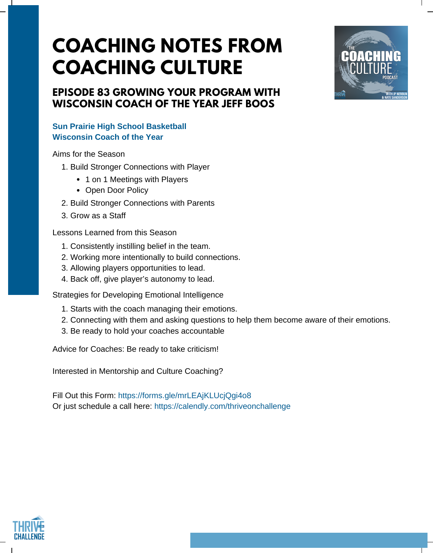# **COACHING NOTES FROM COACHING CULTURE**

# **EPISODE 83 GROWING YOUR PROGRAM WITH WISCONSIN COACH OF THE YEAR JEFF BOOS**

### **Sun Prairie High School Basketball Wisconsin Coach of the Year**

Aims for the Season

- 1. Build Stronger Connections with Player
	- 1 on 1 Meetings with Players
	- Open Door Policy
- 2. Build Stronger Connections with Parents
- 3. Grow as a Staff

Lessons Learned from this Season

- 1. Consistently instilling belief in the team.
- 2. Working more intentionally to build connections.
- 3. Allowing players opportunities to lead.
- 4. Back off, give player's autonomy to lead.

Strategies for Developing Emotional Intelligence

- 1. Starts with the coach managing their emotions.
- 2. Connecting with them and asking questions to help them become aware of their emotions.
- 3. Be ready to hold your coaches accountable

Advice for Coaches: Be ready to take criticism!

Interested in Mentorship and Culture Coaching?

Fill Out this Form: [https://forms.gle/mrLEAjKLUcjQgi4o8](https://docs.google.com/forms/d/e/1FAIpQLSccCpKBd2Rz70IhmtTUSVBhBPS8pngTvhg3fQmr2VS3ZaXmqA/viewform) Or just schedule a call here: <https://calendly.com/thriveonchallenge>



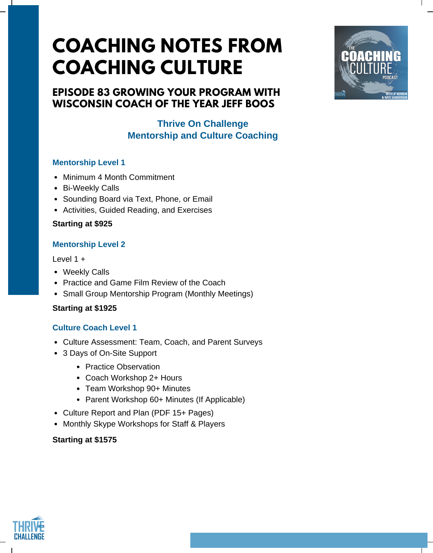# **COACHING NOTES FROM COACHING CULTURE**

# **EPISODE 83 GROWING YOUR PROGRAM WITH WISCONSIN COACH OF THE YEAR JEFF BOOS**

## **Thrive On Challenge Mentorship and Culture Coaching**

### **Mentorship Level 1**

- Minimum 4 Month Commitment
- Bi-Weekly Calls
- Sounding Board via Text, Phone, or Email
- Activities, Guided Reading, and Exercises

## **Starting at \$925**

## **Mentorship Level 2**

#### Level 1 +

- Weekly Calls
- Practice and Game Film Review of the Coach
- Small Group Mentorship Program (Monthly Meetings)

#### **Starting at \$1925**

## **Culture Coach Level 1**

- Culture Assessment: Team, Coach, and Parent Surveys
- 3 Days of On-Site Support
	- Practice Observation
	- Coach Workshop 2+ Hours
	- Team Workshop 90+ Minutes
	- Parent Workshop 60+ Minutes (If Applicable)
- Culture Report and Plan (PDF 15+ Pages)
- Monthly Skype Workshops for Staff & Players

#### **Starting at \$1575**